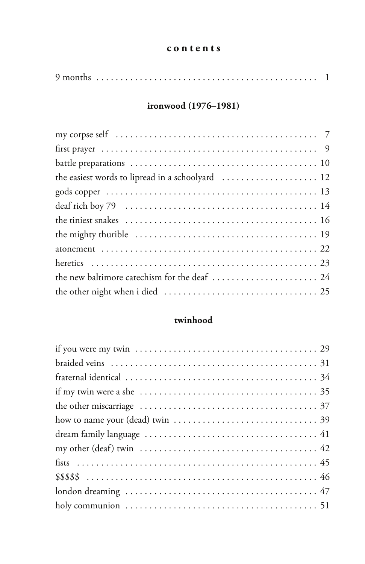#### **contents**

|--|--|--|

### **ironwood (1976–1981)**

| the new baltimore catechism for the deaf  24 |
|----------------------------------------------|
|                                              |

### **twinhood**

| if my twin were a she $\dots\dots\dots\dots\dots\dots\dots\dots\dots\dots\dots\dots\dots35$      |
|--------------------------------------------------------------------------------------------------|
|                                                                                                  |
| how to name your (dead) twin $\ldots \ldots \ldots \ldots \ldots \ldots \ldots \ldots \ldots$ 39 |
|                                                                                                  |
|                                                                                                  |
|                                                                                                  |
|                                                                                                  |
|                                                                                                  |
|                                                                                                  |